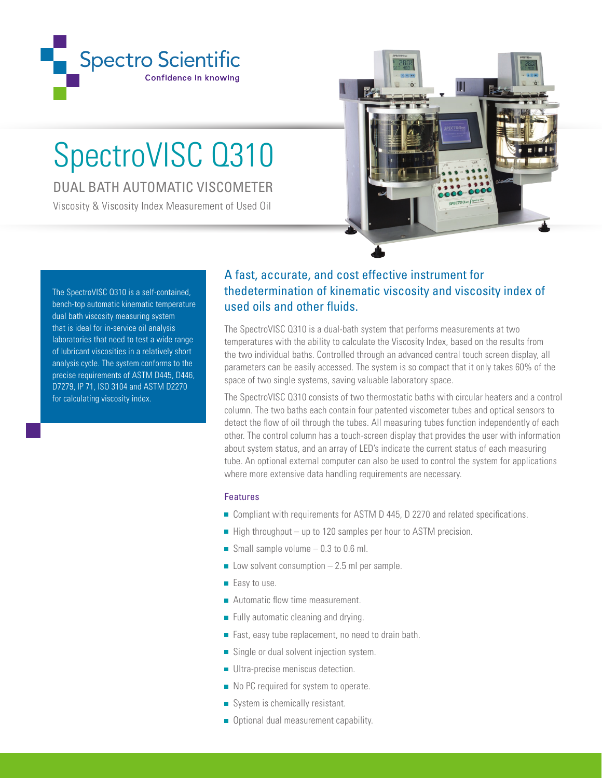

## SpectroVISC Q310

DUAL BATH AUTOMATIC VISCOMETER

Viscosity & Viscosity Index Measurement of Used Oil



The SpectroVISC Q310 is a self-contained, bench-top automatic kinematic temperature dual bath viscosity measuring system that is ideal for in-service oil analysis laboratories that need to test a wide range of lubricant viscosities in a relatively short analysis cycle. The system conforms to the precise requirements of ASTM D445, D446, D7279, IP 71, ISO 3104 and ASTM D2270 for calculating viscosity index.

## A fast, accurate, and cost effective instrument for thedetermination of kinematic viscosity and viscosity index of used oils and other fluids.

The SpectroVISC Q310 is a dual-bath system that performs measurements at two temperatures with the ability to calculate the Viscosity Index, based on the results from the two individual baths. Controlled through an advanced central touch screen display, all parameters can be easily accessed. The system is so compact that it only takes 60% of the space of two single systems, saving valuable laboratory space.

The SpectroVISC Q310 consists of two thermostatic baths with circular heaters and a control column. The two baths each contain four patented viscometer tubes and optical sensors to detect the flow of oil through the tubes. All measuring tubes function independently of each other. The control column has a touch-screen display that provides the user with information about system status, and an array of LED's indicate the current status of each measuring tube. An optional external computer can also be used to control the system for applications where more extensive data handling requirements are necessary.

## Features

- Compliant with requirements for ASTM D 445, D 2270 and related specifications.
- $\blacksquare$  High throughput up to 120 samples per hour to ASTM precision.
- Small sample volume  $-0.3$  to 0.6 ml.
- $\blacksquare$  Low solvent consumption  $-2.5$  ml per sample.
- Easy to use.
- **Automatic flow time measurement.**
- Fully automatic cleaning and drying.
- Fast, easy tube replacement, no need to drain bath.
- Single or dual solvent injection system.
- **Ultra-precise meniscus detection.**
- No PC required for system to operate.
- System is chemically resistant.
- Optional dual measurement capability.